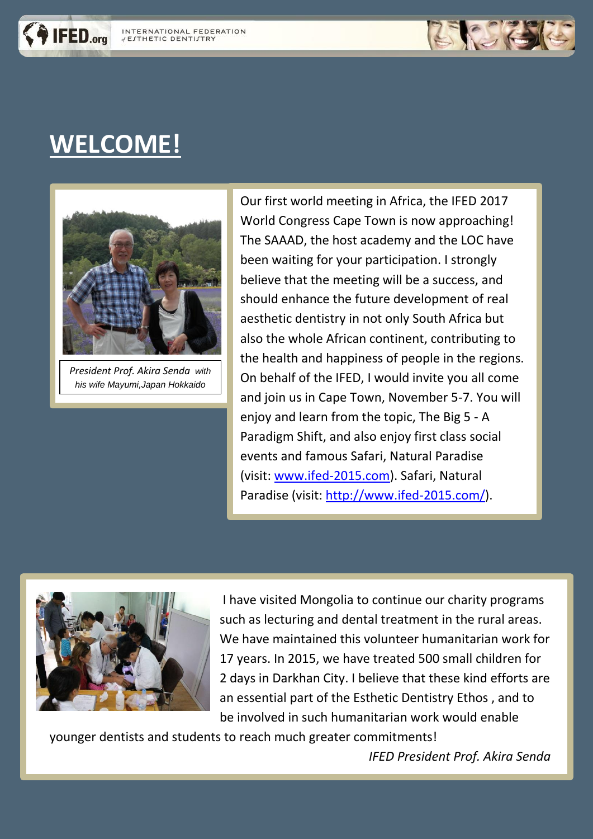

# **WELCOME!**

IFED.org



*President Prof. Akira Senda with his wife Mayumi,Japan Hokkaido*

Our first world meeting in Africa, the IFED 2017 World Congress Cape Town is now approaching! The SAAAD, the host academy and the LOC have been waiting for your participation. I strongly believe that the meeting will be a success, and should enhance the future development of real aesthetic dentistry in not only South Africa but also the whole African continent, contributing to the health and happiness of people in the regions. On behalf of the IFED, I would invite you all come and join us in Cape Town, November 5-7. You will enjoy and learn from the topic, The Big 5 - A Paradigm Shift, and also enjoy first class social events and famous Safari, Natural Paradise (visit: [www.ifed-2015.com\)](http://www.ifed-2015.com/). Safari, Natural Paradise (visit: [http://www.ifed-2015.com/\)](http://www.ifed-2015.com/).



I have visited Mongolia to continue our charity programs such as lecturing and dental treatment in the rural areas. We have maintained this volunteer humanitarian work for 17 years. In 2015, we have treated 500 small children for 2 days in Darkhan City. I believe that these kind efforts are an essential part of the Esthetic Dentistry Ethos , and to be involved in such humanitarian work would enable

younger dentists and students to reach much greater commitments!

*IFED President Prof. Akira Senda*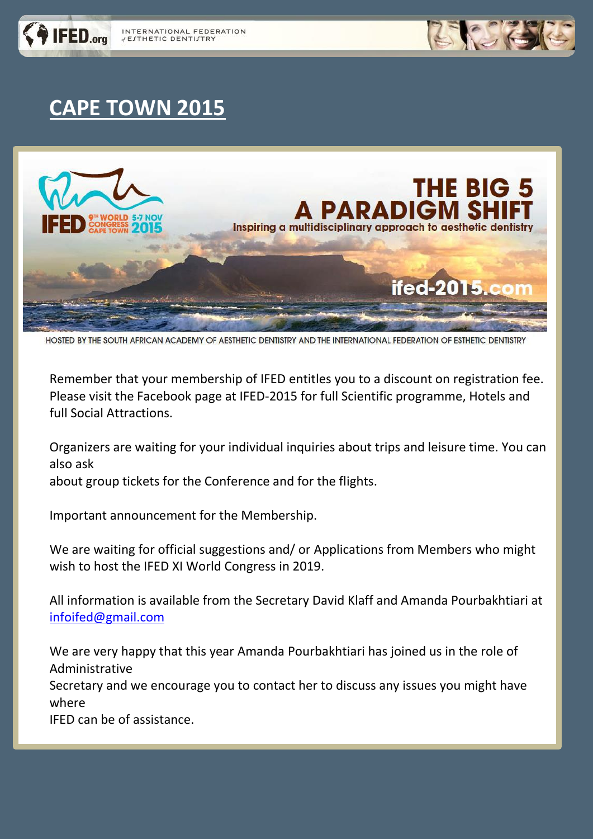



#### **CAPE TOWN 2015**



HOSTED BY THE SOUTH AFRICAN ACADEMY OF AESTHETIC DENTISTRY AND THE INTERNATIONAL FEDERATION OF ESTHETIC DENTISTRY

Remember that your membership of IFED entitles you to a discount on registration fee. Please visit the Facebook page at IFED-2015 for full Scientific programme, Hotels and full Social Attractions.

Organizers are waiting for your individual inquiries about trips and leisure time. You can also ask

about group tickets for the Conference and for the flights.

Important announcement for the Membership.

We are waiting for official suggestions and/ or Applications from Members who might wish to host the IFED XI World Congress in 2019.

All information is available from the Secretary David Klaff and Amanda Pourbakhtiari at [infoifed@gmail.com](file:///C:/Users/AniaG/Desktop/infoifed@gmail.com)

We are very happy that this year Amanda Pourbakhtiari has joined us in the role of Administrative

Secretary and we encourage you to contact her to discuss any issues you might have where

IFED can be of assistance.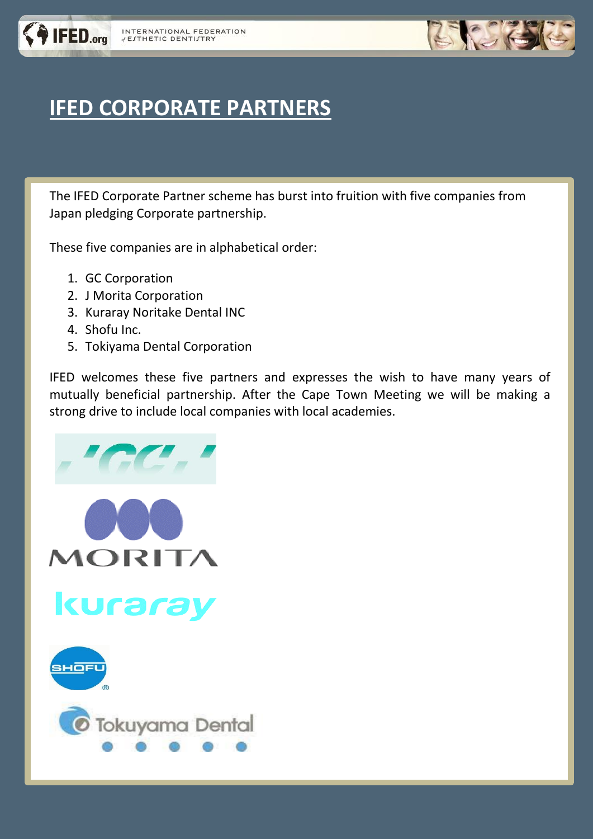

## **IFED CORPORATE PARTNERS**

The IFED Corporate Partner scheme has burst into fruition with five companies from Japan pledging Corporate partnership.

These five companies are in alphabetical order:

- 1. GC Corporation
- 2. J Morita Corporation
- 3. Kuraray Noritake Dental INC
- 4. Shofu Inc.
- 5. Tokiyama Dental Corporation

IFED welcomes these five partners and expresses the wish to have many years of mutually beneficial partnership. After the Cape Town Meeting we will be making a strong drive to include local companies with local academies.

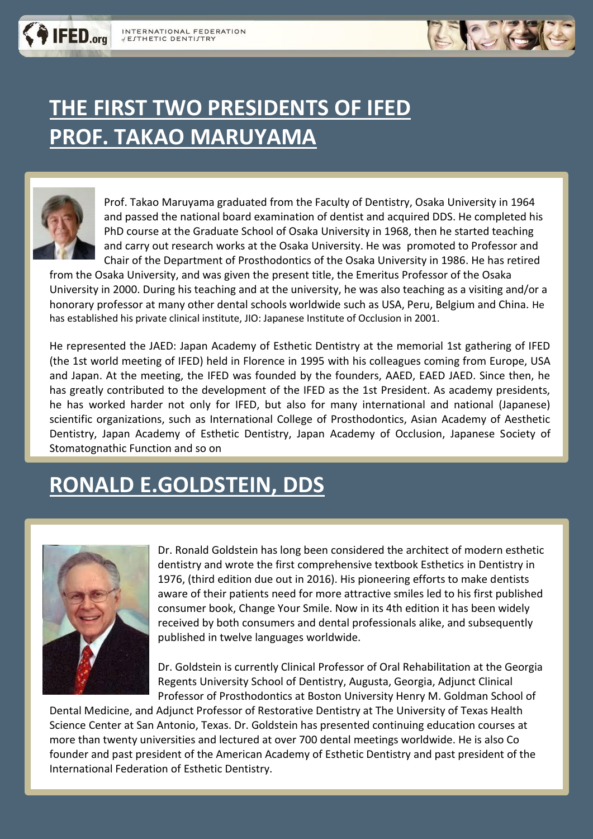

## **THE FIRST TWO PRESIDENTS OF IFED PROF. TAKAO MARUYAMA**



**IFED.org** 

Prof. Takao Maruyama graduated from the Faculty of Dentistry, Osaka University in 1964 and passed the national board examination of dentist and acquired DDS. He completed his PhD course at the Graduate School of Osaka University in 1968, then he started teaching and carry out research works at the Osaka University. He was promoted to Professor and Chair of the Department of Prosthodontics of the Osaka University in 1986. He has retired

from the Osaka University, and was given the present title, the Emeritus Professor of the Osaka University in 2000. During his teaching and at the university, he was also teaching as a visiting and/or a honorary professor at many other dental schools worldwide such as USA, Peru, Belgium and China. He has established his private clinical institute, JIO: Japanese Institute of Occlusion in 2001.

He represented the JAED: Japan Academy of Esthetic Dentistry at the memorial 1st gathering of IFED (the 1st world meeting of IFED) held in Florence in 1995 with his colleagues coming from Europe, USA and Japan. At the meeting, the IFED was founded by the founders, AAED, EAED JAED. Since then, he has greatly contributed to the development of the IFED as the 1st President. As academy presidents, he has worked harder not only for IFED, but also for many international and national (Japanese) scientific organizations, such as International College of Prosthodontics, Asian Academy of Aesthetic Dentistry, Japan Academy of Esthetic Dentistry, Japan Academy of Occlusion, Japanese Society of Stomatognathic Function and so on

#### **RONALD E.GOLDSTEIN, DDS**



Dr. Ronald Goldstein has long been considered the architect of modern esthetic dentistry and wrote the first comprehensive textbook Esthetics in Dentistry in 1976, (third edition due out in 2016). His pioneering efforts to make dentists aware of their patients need for more attractive smiles led to his first published consumer book, Change Your Smile. Now in its 4th edition it has been widely received by both consumers and dental professionals alike, and subsequently published in twelve languages worldwide.

Dr. Goldstein is currently Clinical Professor of Oral Rehabilitation at the Georgia Regents University School of Dentistry, Augusta, Georgia, Adjunct Clinical Professor of Prosthodontics at Boston University Henry M. Goldman School of

Dental Medicine, and Adjunct Professor of Restorative Dentistry at The University of Texas Health Science Center at San Antonio, Texas. Dr. Goldstein has presented continuing education courses at more than twenty universities and lectured at over 700 dental meetings worldwide. He is also Co founder and past president of the American Academy of Esthetic Dentistry and past president of the International Federation of Esthetic Dentistry.